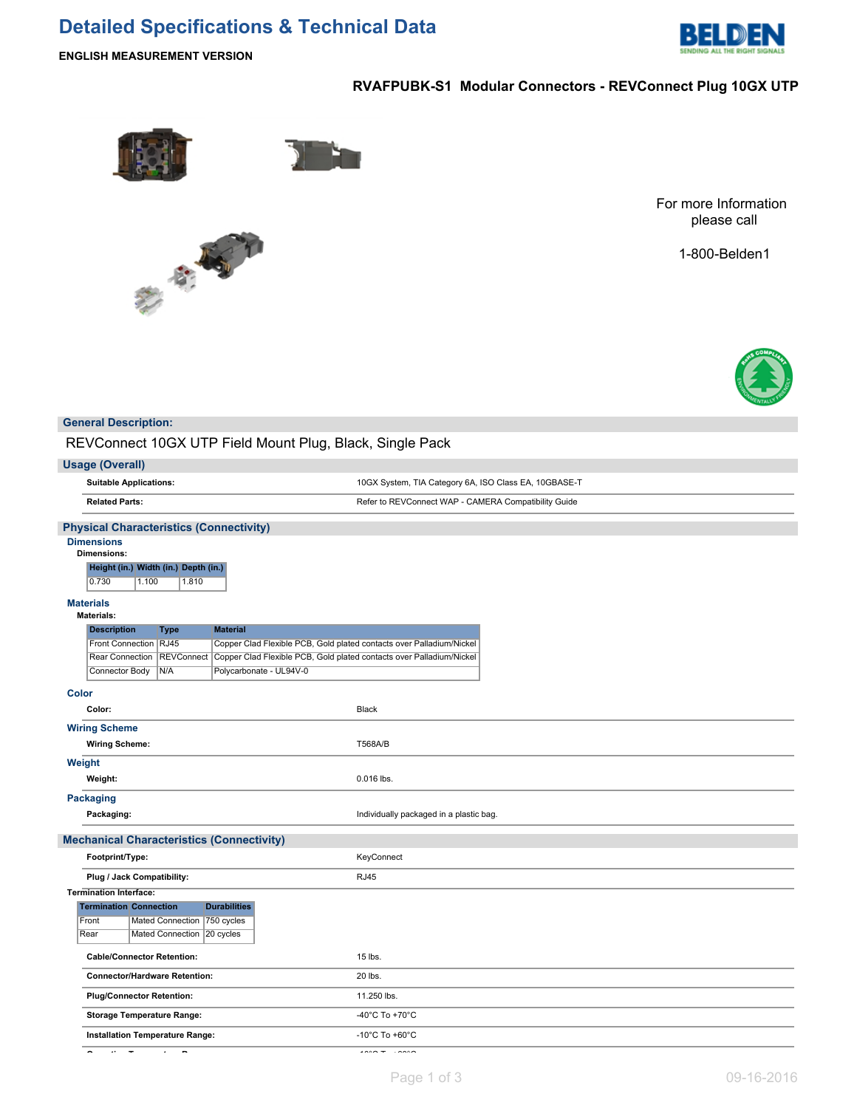# **Detailed Specifications & Technical Data**



**ENGLISH MEASUREMENT VERSION**

## **RVAFPUBK-S1 Modular Connectors - REVConnect Plug 10GX UTP**



**1999年1月** 

For more Information please call

1-800-Belden1



### **General Description:**

REVConnect 10GX UTP Field Mount Plug, Black, Single Pack

| <b>Usage (Overall)</b>                                                                                       |                                                       |  |  |  |  |  |  |  |  |
|--------------------------------------------------------------------------------------------------------------|-------------------------------------------------------|--|--|--|--|--|--|--|--|
| <b>Suitable Applications:</b>                                                                                | 10GX System, TIA Category 6A, ISO Class EA, 10GBASE-T |  |  |  |  |  |  |  |  |
| <b>Related Parts:</b>                                                                                        | Refer to REVConnect WAP - CAMERA Compatibility Guide  |  |  |  |  |  |  |  |  |
| <b>Physical Characteristics (Connectivity)</b>                                                               |                                                       |  |  |  |  |  |  |  |  |
| <b>Dimensions</b><br><b>Dimensions:</b><br>Height (in.) Width (in.) Depth (in.)<br>0.730<br>1.100<br>1.810   |                                                       |  |  |  |  |  |  |  |  |
| <b>Materials</b><br><b>Materials:</b>                                                                        |                                                       |  |  |  |  |  |  |  |  |
| <b>Description</b><br><b>Material</b><br><b>Type</b>                                                         |                                                       |  |  |  |  |  |  |  |  |
| Front Connection RJ45<br>Copper Clad Flexible PCB, Gold plated contacts over Palladium/Nickel                |                                                       |  |  |  |  |  |  |  |  |
| REVConnect<br>Copper Clad Flexible PCB, Gold plated contacts over Palladium/Nickel<br><b>Rear Connection</b> |                                                       |  |  |  |  |  |  |  |  |
| Polycarbonate - UL94V-0<br>Connector Body<br>N/A                                                             |                                                       |  |  |  |  |  |  |  |  |
| <b>Color</b>                                                                                                 |                                                       |  |  |  |  |  |  |  |  |
| Color:                                                                                                       | Black                                                 |  |  |  |  |  |  |  |  |
| <b>Wiring Scheme</b>                                                                                         |                                                       |  |  |  |  |  |  |  |  |
| <b>Wiring Scheme:</b>                                                                                        | T568A/B                                               |  |  |  |  |  |  |  |  |
| Weight                                                                                                       |                                                       |  |  |  |  |  |  |  |  |
| Weight:                                                                                                      | 0.016 lbs.                                            |  |  |  |  |  |  |  |  |
| <b>Packaging</b>                                                                                             |                                                       |  |  |  |  |  |  |  |  |
| Packaging:                                                                                                   | Individually packaged in a plastic bag.               |  |  |  |  |  |  |  |  |
| <b>Mechanical Characteristics (Connectivity)</b>                                                             |                                                       |  |  |  |  |  |  |  |  |
| Footprint/Type:                                                                                              | KeyConnect                                            |  |  |  |  |  |  |  |  |
| Plug / Jack Compatibility:                                                                                   | <b>RJ45</b>                                           |  |  |  |  |  |  |  |  |
| <b>Termination Interface:</b>                                                                                |                                                       |  |  |  |  |  |  |  |  |
| <b>Durabilities</b><br><b>Termination Connection</b><br>Front                                                |                                                       |  |  |  |  |  |  |  |  |
| 750 cycles<br>Mated Connection<br>Mated Connection   20 cycles<br>Rear                                       |                                                       |  |  |  |  |  |  |  |  |
| <b>Cable/Connector Retention:</b>                                                                            | 15 lbs.                                               |  |  |  |  |  |  |  |  |
|                                                                                                              |                                                       |  |  |  |  |  |  |  |  |
| <b>Connector/Hardware Retention:</b>                                                                         | 20 lbs.                                               |  |  |  |  |  |  |  |  |
| <b>Plug/Connector Retention:</b>                                                                             | 11.250 lbs.                                           |  |  |  |  |  |  |  |  |
| <b>Storage Temperature Range:</b>                                                                            | -40°C To +70°C                                        |  |  |  |  |  |  |  |  |
| Installation Temperature Range:                                                                              | -10 $^{\circ}$ C To +60 $^{\circ}$ C                  |  |  |  |  |  |  |  |  |
|                                                                                                              | $\cdots$                                              |  |  |  |  |  |  |  |  |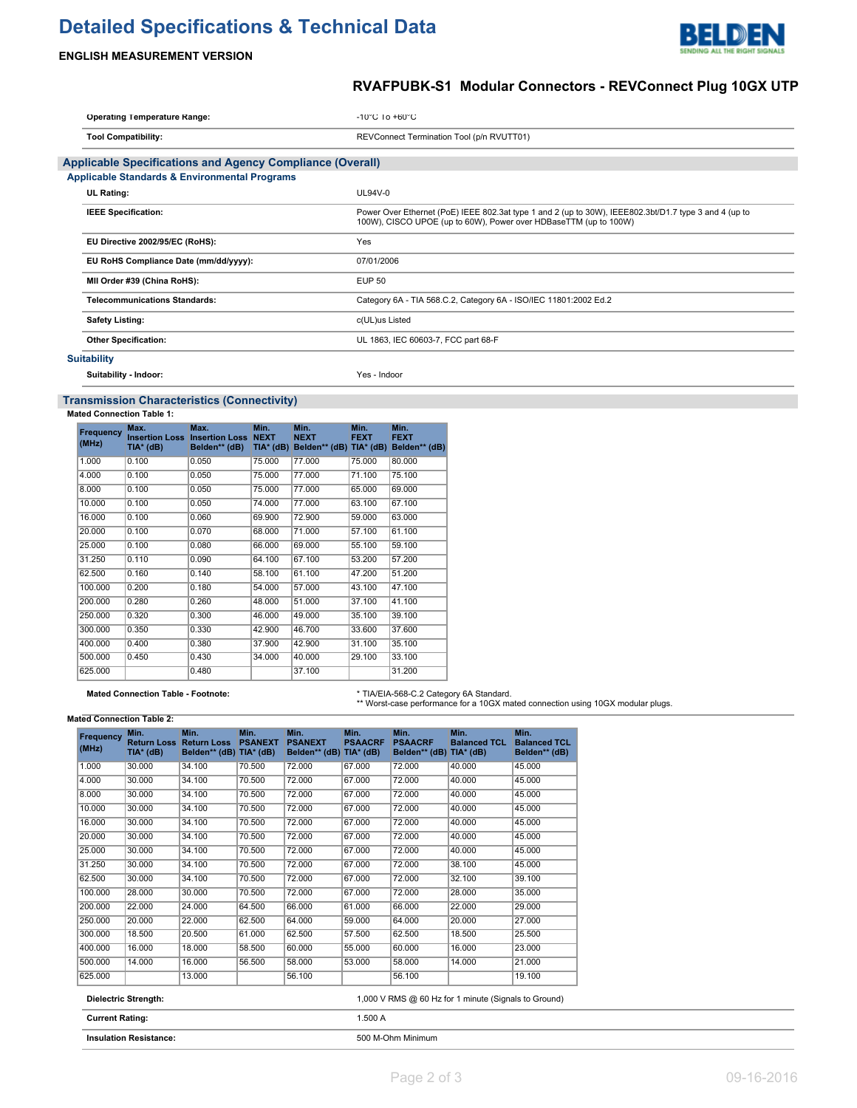# **Detailed Specifications & Technical Data**



### **ENGLISH MEASUREMENT VERSION**

## **RVAFPUBK-S1 Modular Connectors - REVConnect Plug 10GX UTP**

|                                                          | <b>Operating Temperature Range:</b>                                                                                                                                                                                                                                                                                                                     | $-10^{\circ}$ C 10 $+60^{\circ}$ C                               |  |  |  |  |  |  |  |  |
|----------------------------------------------------------|---------------------------------------------------------------------------------------------------------------------------------------------------------------------------------------------------------------------------------------------------------------------------------------------------------------------------------------------------------|------------------------------------------------------------------|--|--|--|--|--|--|--|--|
|                                                          | <b>Tool Compatibility:</b>                                                                                                                                                                                                                                                                                                                              | REVConnect Termination Tool (p/n RVUTT01)                        |  |  |  |  |  |  |  |  |
|                                                          | <b>Applicable Specifications and Agency Compliance (Overall)</b><br><b>UL Rating:</b><br>$UL94V-0$<br><b>IEEE Specification:</b><br>Power Over Ethernet (PoE) IEEE 802.3at type 1 and 2 (up to 30W), IEEE802.3bt/D1.7 type 3 and 4 (up to<br>100W), CISCO UPOE (up to 60W), Power over HDBaseTTM (up to 100W)<br>Yes<br>EU Directive 2002/95/EC (RoHS): |                                                                  |  |  |  |  |  |  |  |  |
| <b>Applicable Standards &amp; Environmental Programs</b> |                                                                                                                                                                                                                                                                                                                                                         |                                                                  |  |  |  |  |  |  |  |  |
|                                                          |                                                                                                                                                                                                                                                                                                                                                         |                                                                  |  |  |  |  |  |  |  |  |
|                                                          |                                                                                                                                                                                                                                                                                                                                                         |                                                                  |  |  |  |  |  |  |  |  |
|                                                          |                                                                                                                                                                                                                                                                                                                                                         |                                                                  |  |  |  |  |  |  |  |  |
|                                                          | EU RoHS Compliance Date (mm/dd/yyyy):                                                                                                                                                                                                                                                                                                                   | 07/01/2006                                                       |  |  |  |  |  |  |  |  |
|                                                          | MII Order #39 (China RoHS):                                                                                                                                                                                                                                                                                                                             | <b>EUP 50</b>                                                    |  |  |  |  |  |  |  |  |
|                                                          | <b>Telecommunications Standards:</b>                                                                                                                                                                                                                                                                                                                    | Category 6A - TIA 568.C.2, Category 6A - ISO/IEC 11801:2002 Ed.2 |  |  |  |  |  |  |  |  |
|                                                          | <b>Safety Listing:</b>                                                                                                                                                                                                                                                                                                                                  | c(UL)us Listed                                                   |  |  |  |  |  |  |  |  |
|                                                          | <b>Other Specification:</b>                                                                                                                                                                                                                                                                                                                             | UL 1863, IEC 60603-7, FCC part 68-F                              |  |  |  |  |  |  |  |  |
| <b>Suitability</b>                                       |                                                                                                                                                                                                                                                                                                                                                         |                                                                  |  |  |  |  |  |  |  |  |
|                                                          | Suitability - Indoor:                                                                                                                                                                                                                                                                                                                                   | Yes - Indoor                                                     |  |  |  |  |  |  |  |  |

### **Transmission Characteristics (Connectivity)**

#### **Mated Connection Table 1:**

| <b>Frequency</b><br>(MHz) | Max.<br>$TIA*$ (dB) | Max.<br><b>Insertion Loss Insertion Loss</b><br>Belden** (dB) | Min.<br><b>NEXT</b><br>$TIA*$ (dB) | Min.<br><b>NEXT</b><br>Belden** (dB) TIA* (dB) | Min.<br><b>FEXT</b> | Min.<br><b>FEXT</b><br>Belden** (dB) |
|---------------------------|---------------------|---------------------------------------------------------------|------------------------------------|------------------------------------------------|---------------------|--------------------------------------|
| 1.000                     | 0.100               | 0.050                                                         | 75.000                             | 77.000                                         | 75.000              | 80.000                               |
| 4.000                     | 0.100               | 0.050                                                         | 75.000                             | 77.000                                         | 71.100              | 75.100                               |
| 8.000                     | 0.100               | 0.050                                                         | 75.000                             | 77.000                                         | 65.000              | 69.000                               |
| 10.000                    | 0.100               | 0.050                                                         | 74.000                             | 77.000                                         | 63.100              | 67.100                               |
| 16.000                    | 0.100               | 0.060                                                         | 69.900                             | 72.900                                         | 59.000              | 63.000                               |
| 20.000                    | 0.100               | 0.070                                                         | 68.000                             | 71.000                                         | 57.100              | 61.100                               |
| 25.000                    | 0.100               | 0.080                                                         | 66.000                             | 69.000                                         | 55.100              | 59.100                               |
| 31.250                    | 0.110               | 0.090                                                         | 64.100                             | 67.100                                         | 53.200              | 57.200                               |
| 62.500                    | 0.160               | 0.140                                                         | 58.100                             | 61.100                                         | 47.200              | 51.200                               |
| 100.000                   | 0.200               | 0.180                                                         | 54.000                             | 57,000                                         | 43.100              | 47.100                               |
| 200.000                   | 0.280               | 0.260                                                         | 48.000                             | 51.000                                         | 37.100              | 41.100                               |
| 250.000                   | 0.320               | 0.300                                                         | 46.000                             | 49.000                                         | 35.100              | 39.100                               |
| 300.000                   | 0.350               | 0.330                                                         | 42.900                             | 46.700                                         | 33.600              | 37.600                               |
| 400.000                   | 0.400               | 0.380                                                         | 37.900                             | 42.900                                         | 31.100              | 35.100                               |
| 500.000                   | 0.450               | 0.430                                                         | 34.000                             | 40.000                                         | 29.100              | 33.100                               |
| 625.000                   |                     | 0.480                                                         |                                    | 37.100                                         |                     | 31.200                               |

**Mated Connection Table 2:**

| <b>Frequency</b><br>(MHz)                                                           | Min.<br><b>Return Loss</b><br>TIA* (dB) | Min.<br><b>Return Loss</b><br>Belden** (dB) TIA* (dB) | Min.<br><b>PSANEXT</b> | Min.<br><b>PSANEXT</b><br>Belden** (dB) | Min.<br><b>PSAACRF</b><br>$TIA*$ (dB) | Min.<br><b>PSAACRF</b><br>Belden** (dB) | Min.<br><b>Balanced TCL</b><br>$TIA*$ (dB) | Min.<br><b>Balanced TCL</b><br>Belden** (dB) |
|-------------------------------------------------------------------------------------|-----------------------------------------|-------------------------------------------------------|------------------------|-----------------------------------------|---------------------------------------|-----------------------------------------|--------------------------------------------|----------------------------------------------|
| 1.000                                                                               | 30.000                                  | 34.100                                                | 70.500                 | 72.000                                  | 67.000                                | 72.000                                  | 40.000                                     | 45.000                                       |
| 4.000                                                                               | 30.000                                  | 34.100                                                | 70.500                 | 72.000                                  | 67.000                                | 72.000                                  | 40.000                                     | 45.000                                       |
| 8.000                                                                               | 30.000                                  | 34.100                                                | 70.500                 | 72.000                                  | 67.000                                | 72.000                                  | 40.000                                     | 45.000                                       |
| 10.000                                                                              | 30.000                                  | 34.100                                                | 70.500                 | 72.000                                  | 67.000                                | 72.000                                  | 40.000                                     | 45.000                                       |
| 16.000                                                                              | 30.000                                  | 34.100                                                | 70.500                 | 72.000                                  | 67.000                                | 72.000                                  | 40.000                                     | 45.000                                       |
| 20.000                                                                              | 30.000                                  | 34.100                                                | 70.500                 | 72.000                                  | 67.000                                | 72.000                                  | 40.000                                     | 45.000                                       |
| 25.000                                                                              | 30.000                                  | 34.100                                                | 70.500                 | 72.000                                  | 67.000                                | 72.000                                  | 40.000                                     | 45.000                                       |
| 31.250                                                                              | 30.000                                  | 34.100                                                | 70.500                 | 72.000                                  | 67.000                                | 72.000                                  | 38.100                                     | 45.000                                       |
| 62.500                                                                              | 30.000                                  | 34.100                                                | 70.500                 | 72.000                                  | 67.000                                | 72.000                                  | 32.100                                     | 39.100                                       |
| 100.000                                                                             | 28,000                                  | 30.000                                                | 70.500                 | 72.000                                  | 67.000                                | 72.000                                  | 28.000                                     | 35,000                                       |
| 200.000                                                                             | 22.000                                  | 24.000                                                | 64.500                 | 66.000                                  | 61.000                                | 66.000                                  | 22.000                                     | 29.000                                       |
| 250,000                                                                             | 20.000                                  | 22.000                                                | 62.500                 | 64.000                                  | 59.000                                | 64.000                                  | 20.000                                     | 27.000                                       |
| 300.000                                                                             | 18.500                                  | 20.500                                                | 61.000                 | 62.500                                  | 57.500                                | 62.500                                  | 18.500                                     | 25.500                                       |
| 400.000                                                                             | 16.000                                  | 18.000                                                | 58.500                 | 60.000                                  | 55.000                                | 60.000                                  | 16.000                                     | 23.000                                       |
| 500.000                                                                             | 14.000                                  | 16.000                                                | 56.500                 | 58.000                                  | 53.000                                | 58.000                                  | 14.000                                     | 21.000                                       |
| 625.000                                                                             |                                         | 13.000                                                |                        | 56.100                                  |                                       | 56.100                                  |                                            | 19.100                                       |
| <b>Dielectric Strength:</b><br>1,000 V RMS @ 60 Hz for 1 minute (Signals to Ground) |                                         |                                                       |                        |                                         |                                       |                                         |                                            |                                              |

**Current Rating:** 1.500 A

**Insulation Resistance:** 500 M-Ohm Minimum

Mated Connection Table - Footnote: http://www.mated.org/mated.com/mated/attandard.<br>\*\* Worst-case performance for a 10GX mated connection using 10GX modular plugs.